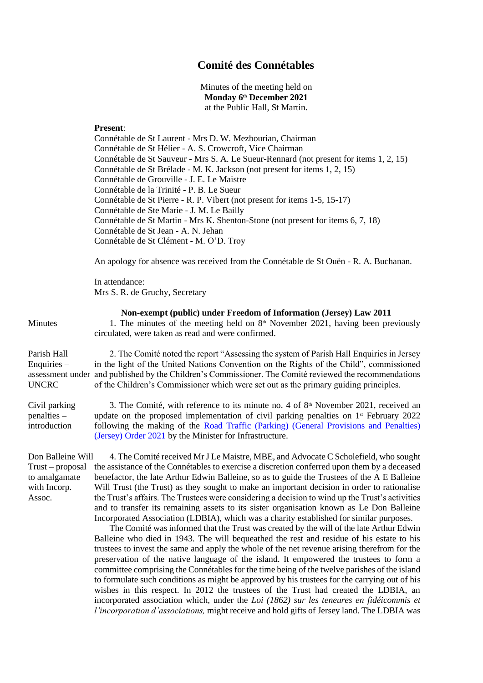## **Comité des Connétables**

Minutes of the meeting held on **Monday 6th December 2021** at the Public Hall, St Martin.

## **Present**:

Connétable de St Laurent - Mrs D. W. Mezbourian, Chairman Connétable de St Hélier - A. S. Crowcroft, Vice Chairman Connétable de St Sauveur - Mrs S. A. Le Sueur-Rennard (not present for items 1, 2, 15) Connétable de St Brélade - M. K. Jackson (not present for items 1, 2, 15) Connétable de Grouville - J. E. Le Maistre Connétable de la Trinité - P. B. Le Sueur Connétable de St Pierre - R. P. Vibert (not present for items 1-5, 15-17) Connétable de Ste Marie - J. M. Le Bailly Connétable de St Martin - Mrs K. Shenton-Stone (not present for items 6, 7, 18) Connétable de St Jean - A. N. Jehan Connétable de St Clément - M. O'D. Troy

An apology for absence was received from the Connétable de St Ouën - R. A. Buchanan.

In attendance: Mrs S. R. de Gruchy, Secretary

**Non-exempt (public) under Freedom of Information (Jersey) Law 2011** Minutes 1. The minutes of the meeting held on  $8<sup>th</sup>$  November 2021, having been previously circulated, were taken as read and were confirmed. Parish Hall Enquiries – assessment under and published by the Children's Commissioner. The Comité reviewed the recommendations UNCRC 2. The Comité noted the report "Assessing the system of Parish Hall Enquiries in Jersey in the light of the United Nations Convention on the Rights of the Child", commissioned of the Children's Commissioner which were set out as the primary guiding principles. Civil parking penalties – introduction 3. The Comité, with reference to its minute no. 4 of  $8<sup>th</sup>$  November 2021, received an update on the proposed implementation of civil parking penalties on  $1<sup>st</sup>$  February 2022 following the making of the [Road Traffic \(Parking\) \(General Provisions and Penalties\)](https://www.jerseylaw.je/laws/enacted/Pages/RO-137-2021.aspx)  [\(Jersey\) Order 2021](https://www.jerseylaw.je/laws/enacted/Pages/RO-137-2021.aspx) by the Minister for Infrastructure. Don Balleine Will Trust – proposal the assistance of the Connétables to exercise a discretion conferred upon them by a deceased to amalgamate with Incorp. Assoc. 4. The Comité received Mr J Le Maistre, MBE, and Advocate C Scholefield, who sought benefactor, the late Arthur Edwin Balleine, so as to guide the Trustees of the A E Balleine Will Trust (the Trust) as they sought to make an important decision in order to rationalise the Trust's affairs. The Trustees were considering a decision to wind up the Trust's activities and to transfer its remaining assets to its sister organisation known as Le Don Balleine Incorporated Association (LDBIA), which was a charity established for similar purposes. The Comité was informed that the Trust was created by the will of the late Arthur Edwin

Balleine who died in 1943. The will bequeathed the rest and residue of his estate to his trustees to invest the same and apply the whole of the net revenue arising therefrom for the preservation of the native language of the island. It empowered the trustees to form a committee comprising the Connétables for the time being of the twelve parishes of the island to formulate such conditions as might be approved by his trustees for the carrying out of his wishes in this respect. In 2012 the trustees of the Trust had created the LDBIA, an incorporated association which, under the *Loi (1862) sur les teneures en fidéicommis et l'incorporation d'associations,* might receive and hold gifts of Jersey land. The LDBIA was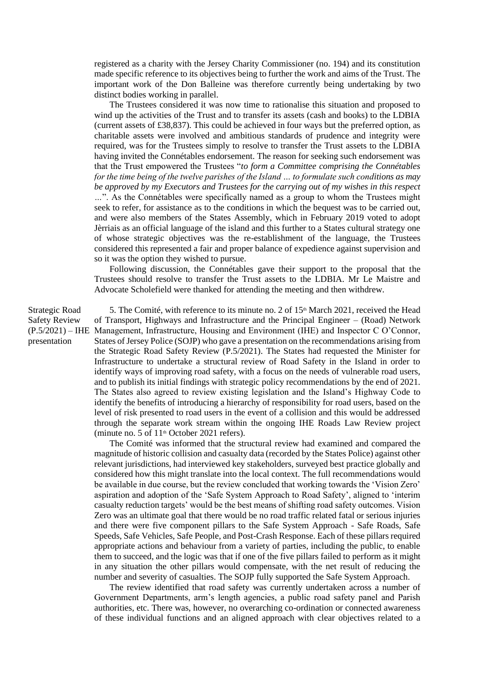registered as a charity with the Jersey Charity Commissioner (no. 194) and its constitution made specific reference to its objectives being to further the work and aims of the Trust. The important work of the Don Balleine was therefore currently being undertaking by two distinct bodies working in parallel.

The Trustees considered it was now time to rationalise this situation and proposed to wind up the activities of the Trust and to transfer its assets (cash and books) to the LDBIA (current assets of £38,837). This could be achieved in four ways but the preferred option, as charitable assets were involved and ambitious standards of prudence and integrity were required, was for the Trustees simply to resolve to transfer the Trust assets to the LDBIA having invited the Connétables endorsement. The reason for seeking such endorsement was that the Trust empowered the Trustees "*to form a Committee comprising the Connétables for the time being of the twelve parishes of the Island … to formulate such conditions as may be approved by my Executors and Trustees for the carrying out of my wishes in this respect …*". As the Connétables were specifically named as a group to whom the Trustees might seek to refer, for assistance as to the conditions in which the bequest was to be carried out, and were also members of the States Assembly, which in February 2019 voted to adopt Jèrriais as an official language of the island and this further to a States cultural strategy one of whose strategic objectives was the re-establishment of the language, the Trustees considered this represented a fair and proper balance of expedience against supervision and so it was the option they wished to pursue.

Following discussion, the Connétables gave their support to the proposal that the Trustees should resolve to transfer the Trust assets to the LDBIA. Mr Le Maistre and Advocate Scholefield were thanked for attending the meeting and then withdrew.

Strategic Road Safety Review  $(P.5/2021) - IHE$ presentation

5. The Comité, with reference to its minute no. 2 of  $15<sup>th</sup>$  March 2021, received the Head of Transport, Highways and Infrastructure and the Principal Engineer – (Road) Network Management, Infrastructure, Housing and Environment (IHE) and Inspector C O'Connor, States of Jersey Police (SOJP) who gave a presentation on the recommendations arising from the Strategic Road Safety Review (P.5/2021). The States had requested the Minister for Infrastructure to undertake a structural review of Road Safety in the Island in order to identify ways of improving road safety, with a focus on the needs of vulnerable road users, and to publish its initial findings with strategic policy recommendations by the end of 2021. The States also agreed to review existing legislation and the Island's Highway Code to identify the benefits of introducing a hierarchy of responsibility for road users, based on the level of risk presented to road users in the event of a collision and this would be addressed through the separate work stream within the ongoing IHE Roads Law Review project (minute no. 5 of  $11<sup>th</sup>$  October 2021 refers).

The Comité was informed that the structural review had examined and compared the magnitude of historic collision and casualty data (recorded by the States Police) against other relevant jurisdictions, had interviewed key stakeholders, surveyed best practice globally and considered how this might translate into the local context. The full recommendations would be available in due course, but the review concluded that working towards the 'Vision Zero' aspiration and adoption of the 'Safe System Approach to Road Safety', aligned to 'interim casualty reduction targets' would be the best means of shifting road safety outcomes. Vision Zero was an ultimate goal that there would be no road traffic related fatal or serious injuries and there were five component pillars to the Safe System Approach - Safe Roads, Safe Speeds, Safe Vehicles, Safe People, and Post-Crash Response. Each of these pillars required appropriate actions and behaviour from a variety of parties, including the public, to enable them to succeed, and the logic was that if one of the five pillars failed to perform as it might in any situation the other pillars would compensate, with the net result of reducing the number and severity of casualties. The SOJP fully supported the Safe System Approach.

The review identified that road safety was currently undertaken across a number of Government Departments, arm's length agencies, a public road safety panel and Parish authorities, etc. There was, however, no overarching co-ordination or connected awareness of these individual functions and an aligned approach with clear objectives related to a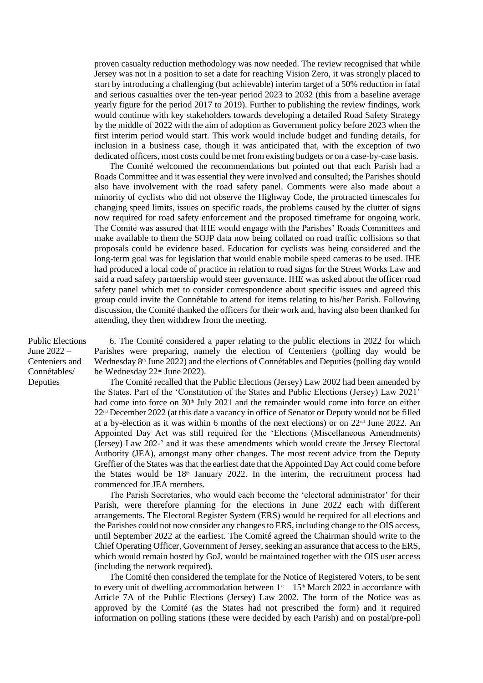proven casualty reduction methodology was now needed. The review recognised that while Jersey was not in a position to set a date for reaching Vision Zero, it was strongly placed to start by introducing a challenging (but achievable) interim target of a 50% reduction in fatal and serious casualties over the ten-year period 2023 to 2032 (this from a baseline average yearly figure for the period 2017 to 2019). Further to publishing the review findings, work would continue with key stakeholders towards developing a detailed Road Safety Strategy by the middle of 2022 with the aim of adoption as Government policy before 2023 when the first interim period would start. This work would include budget and funding details, for inclusion in a business case, though it was anticipated that, with the exception of two dedicated officers, most costs could be met from existing budgets or on a case-by-case basis.

The Comité welcomed the recommendations but pointed out that each Parish had a Roads Committee and it was essential they were involved and consulted; the Parishes should also have involvement with the road safety panel. Comments were also made about a minority of cyclists who did not observe the Highway Code, the protracted timescales for changing speed limits, issues on specific roads, the problems caused by the clutter of signs now required for road safety enforcement and the proposed timeframe for ongoing work. The Comité was assured that IHE would engage with the Parishes' Roads Committees and make available to them the SOJP data now being collated on road traffic collisions so that proposals could be evidence based. Education for cyclists was being considered and the long-term goal was for legislation that would enable mobile speed cameras to be used. IHE had produced a local code of practice in relation to road signs for the Street Works Law and said a road safety partnership would steer governance. IHE was asked about the officer road safety panel which met to consider correspondence about specific issues and agreed this group could invite the Connétable to attend for items relating to his/her Parish. Following discussion, the Comité thanked the officers for their work and, having also been thanked for attending, they then withdrew from the meeting.

Public Elections June 2022 – Centeniers and Connétables/ Deputies

6. The Comité considered a paper relating to the public elections in 2022 for which Parishes were preparing, namely the election of Centeniers (polling day would be Wednesday 8<sup>th</sup> June 2022) and the elections of Connétables and Deputies (polling day would be Wednesday 22nd June 2022).

The Comité recalled that the Public Elections (Jersey) Law 2002 had been amended by the States. Part of the 'Constitution of the States and Public Elections (Jersey) Law 2021' had come into force on  $30<sup>th</sup>$  July 2021 and the remainder would come into force on either 22nd December 2022 (at this date a vacancy in office of Senator or Deputy would not be filled at a by-election as it was within 6 months of the next elections) or on  $22<sup>nd</sup>$  June 2022. An Appointed Day Act was still required for the 'Elections (Miscellaneous Amendments) (Jersey) Law 202-' and it was these amendments which would create the Jersey Electoral Authority (JEA), amongst many other changes. The most recent advice from the Deputy Greffier of the States was that the earliest date that the Appointed Day Act could come before the States would be 18<sup>th</sup> January 2022. In the interim, the recruitment process had commenced for JEA members.

The Parish Secretaries, who would each become the 'electoral administrator' for their Parish, were therefore planning for the elections in June 2022 each with different arrangements. The Electoral Register System (ERS) would be required for all elections and the Parishes could not now consider any changes to ERS, including change to the OIS access, until September 2022 at the earliest. The Comité agreed the Chairman should write to the Chief Operating Officer, Government of Jersey, seeking an assurance that access to the ERS, which would remain hosted by GoJ, would be maintained together with the OIS user access (including the network required).

The Comité then considered the template for the Notice of Registered Voters, to be sent to every unit of dwelling accommodation between  $1<sup>st</sup> - 15<sup>th</sup>$  March 2022 in accordance with Article 7A of the Public Elections (Jersey) Law 2002. The form of the Notice was as approved by the Comité (as the States had not prescribed the form) and it required information on polling stations (these were decided by each Parish) and on postal/pre-poll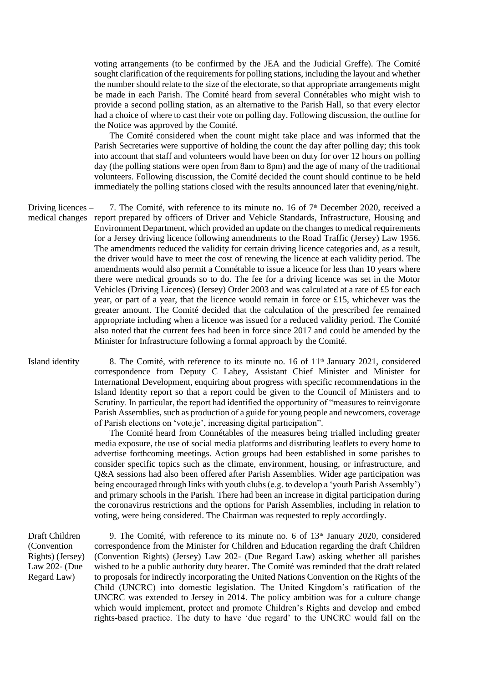voting arrangements (to be confirmed by the JEA and the Judicial Greffe). The Comité sought clarification of the requirements for polling stations, including the layout and whether the number should relate to the size of the electorate, so that appropriate arrangements might be made in each Parish. The Comité heard from several Connétables who might wish to provide a second polling station, as an alternative to the Parish Hall, so that every elector had a choice of where to cast their vote on polling day. Following discussion, the outline for the Notice was approved by the Comité.

The Comité considered when the count might take place and was informed that the Parish Secretaries were supportive of holding the count the day after polling day; this took into account that staff and volunteers would have been on duty for over 12 hours on polling day (the polling stations were open from 8am to 8pm) and the age of many of the traditional volunteers. Following discussion, the Comité decided the count should continue to be held immediately the polling stations closed with the results announced later that evening/night.

Driving licences – medical changes report prepared by officers of Driver and Vehicle Standards, Infrastructure, Housing and 7. The Comité, with reference to its minute no. 16 of  $7<sup>th</sup>$  December 2020, received a Environment Department, which provided an update on the changes to medical requirements for a Jersey driving licence following amendments to the Road Traffic (Jersey) Law 1956. The amendments reduced the validity for certain driving licence categories and, as a result, the driver would have to meet the cost of renewing the licence at each validity period. The amendments would also permit a Connétable to issue a licence for less than 10 years where there were medical grounds so to do. The fee for a driving licence was set in the Motor Vehicles (Driving Licences) (Jersey) Order 2003 and was calculated at a rate of £5 for each year, or part of a year, that the licence would remain in force or £15, whichever was the greater amount. The Comité decided that the calculation of the prescribed fee remained appropriate including when a licence was issued for a reduced validity period. The Comité also noted that the current fees had been in force since 2017 and could be amended by the Minister for Infrastructure following a formal approach by the Comité.

Island identity 8. The Comité, with reference to its minute no. 16 of  $11<sup>th</sup>$  January 2021, considered correspondence from Deputy C Labey, Assistant Chief Minister and Minister for International Development, enquiring about progress with specific recommendations in the Island Identity report so that a report could be given to the Council of Ministers and to Scrutiny. In particular, the report had identified the opportunity of "measures to reinvigorate Parish Assemblies, such as production of a guide for young people and newcomers, coverage of Parish elections on 'vote.je', increasing digital participation".

> The Comité heard from Connétables of the measures being trialled including greater media exposure, the use of social media platforms and distributing leaflets to every home to advertise forthcoming meetings. Action groups had been established in some parishes to consider specific topics such as the climate, environment, housing, or infrastructure, and Q&A sessions had also been offered after Parish Assemblies. Wider age participation was being encouraged through links with youth clubs (e.g. to develop a 'youth Parish Assembly') and primary schools in the Parish. There had been an increase in digital participation during the coronavirus restrictions and the options for Parish Assemblies, including in relation to voting, were being considered. The Chairman was requested to reply accordingly.

Draft Children (Convention Rights) (Jersey) Law 202- (Due Regard Law)

9. The Comité, with reference to its minute no. 6 of  $13<sup>th</sup>$  January 2020, considered correspondence from the Minister for Children and Education regarding the draft Children (Convention Rights) (Jersey) Law 202- (Due Regard Law) asking whether all parishes wished to be a public authority duty bearer. The Comité was reminded that the draft related to proposals for indirectly incorporating the United Nations Convention on the Rights of the Child (UNCRC) into domestic legislation. The United Kingdom's ratification of the UNCRC was extended to Jersey in 2014. The policy ambition was for a culture change which would implement, protect and promote Children's Rights and develop and embed rights-based practice. The duty to have 'due regard' to the UNCRC would fall on the